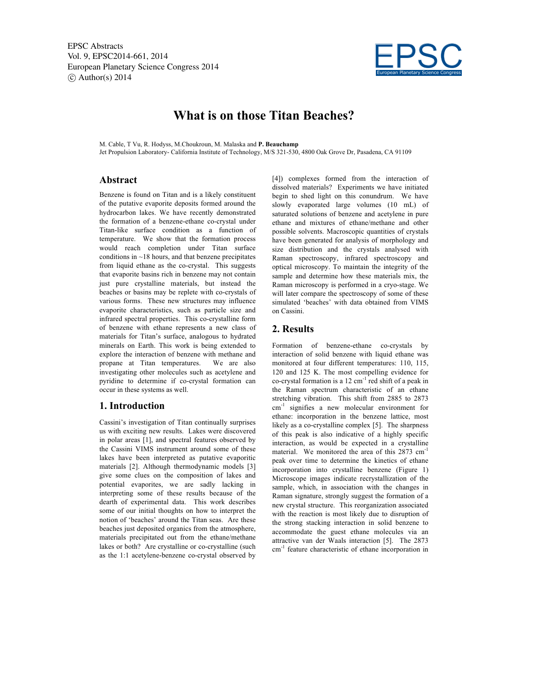

# **What is on those Titan Beaches?**

M. Cable, T Vu, R. Hodyss, M.Choukroun, M. Malaska and **P. Beauchamp**

Jet Propulsion Laboratory- California Institute of Technology, M/S 321-530, 4800 Oak Grove Dr, Pasadena, CA 91109

### **Abstract**

Benzene is found on Titan and is a likely constituent of the putative evaporite deposits formed around the hydrocarbon lakes. We have recently demonstrated the formation of a benzene-ethane co-crystal under Titan-like surface condition as a function of temperature. We show that the formation process would reach completion under Titan surface conditions in ~18 hours, and that benzene precipitates from liquid ethane as the co-crystal. This suggests that evaporite basins rich in benzene may not contain just pure crystalline materials, but instead the beaches or basins may be replete with co-crystals of various forms. These new structures may influence evaporite characteristics, such as particle size and infrared spectral properties. This co-crystalline form of benzene with ethane represents a new class of materials for Titan's surface, analogous to hydrated minerals on Earth. This work is being extended to explore the interaction of benzene with methane and propane at Titan temperatures. We are also investigating other molecules such as acetylene and pyridine to determine if co-crystal formation can occur in these systems as well.

# **1. Introduction**

Cassini's investigation of Titan continually surprises us with exciting new results. Lakes were discovered in polar areas [1], and spectral features observed by the Cassini VIMS instrument around some of these lakes have been interpreted as putative evaporitic materials [2]. Although thermodynamic models [3] give some clues on the composition of lakes and potential evaporites, we are sadly lacking in interpreting some of these results because of the dearth of experimental data. This work describes some of our initial thoughts on how to interpret the notion of 'beaches' around the Titan seas. Are these beaches just deposited organics from the atmosphere, materials precipitated out from the ethane/methane lakes or both? Are crystalline or co-crystalline (such as the 1:1 acetylene-benzene co-crystal observed by

[4]) complexes formed from the interaction of dissolved materials? Experiments we have initiated begin to shed light on this conundrum. We have slowly evaporated large volumes (10 mL) of saturated solutions of benzene and acetylene in pure ethane and mixtures of ethane/methane and other possible solvents. Macroscopic quantities of crystals have been generated for analysis of morphology and size distribution and the crystals analysed with Raman spectroscopy, infrared spectroscopy and optical microscopy. To maintain the integrity of the sample and determine how these materials mix, the Raman microscopy is performed in a cryo-stage. We will later compare the spectroscopy of some of these simulated 'beaches' with data obtained from VIMS on Cassini.

# **2. Results**

Formation of benzene-ethane co-crystals by interaction of solid benzene with liquid ethane was monitored at four different temperatures: 110, 115, 120 and 125 K. The most compelling evidence for co-crystal formation is a  $12 \text{ cm}^{-1}$  red shift of a peak in the Raman spectrum characteristic of an ethane stretching vibration. This shift from 2885 to 2873 cm-1 signifies a new molecular environment for ethane: incorporation in the benzene lattice, most likely as a co-crystalline complex [5]. The sharpness of this peak is also indicative of a highly specific interaction, as would be expected in a crystalline material. We monitored the area of this 2873 cm<sup>-1</sup> peak over time to determine the kinetics of ethane incorporation into crystalline benzene (Figure 1) Microscope images indicate recrystallization of the sample, which, in association with the changes in Raman signature, strongly suggest the formation of a new crystal structure. This reorganization associated with the reaction is most likely due to disruption of the strong stacking interaction in solid benzene to accommodate the guest ethane molecules via an attractive van der Waals interaction [5]. The 2873 cm<sup>-1</sup> feature characteristic of ethane incorporation in